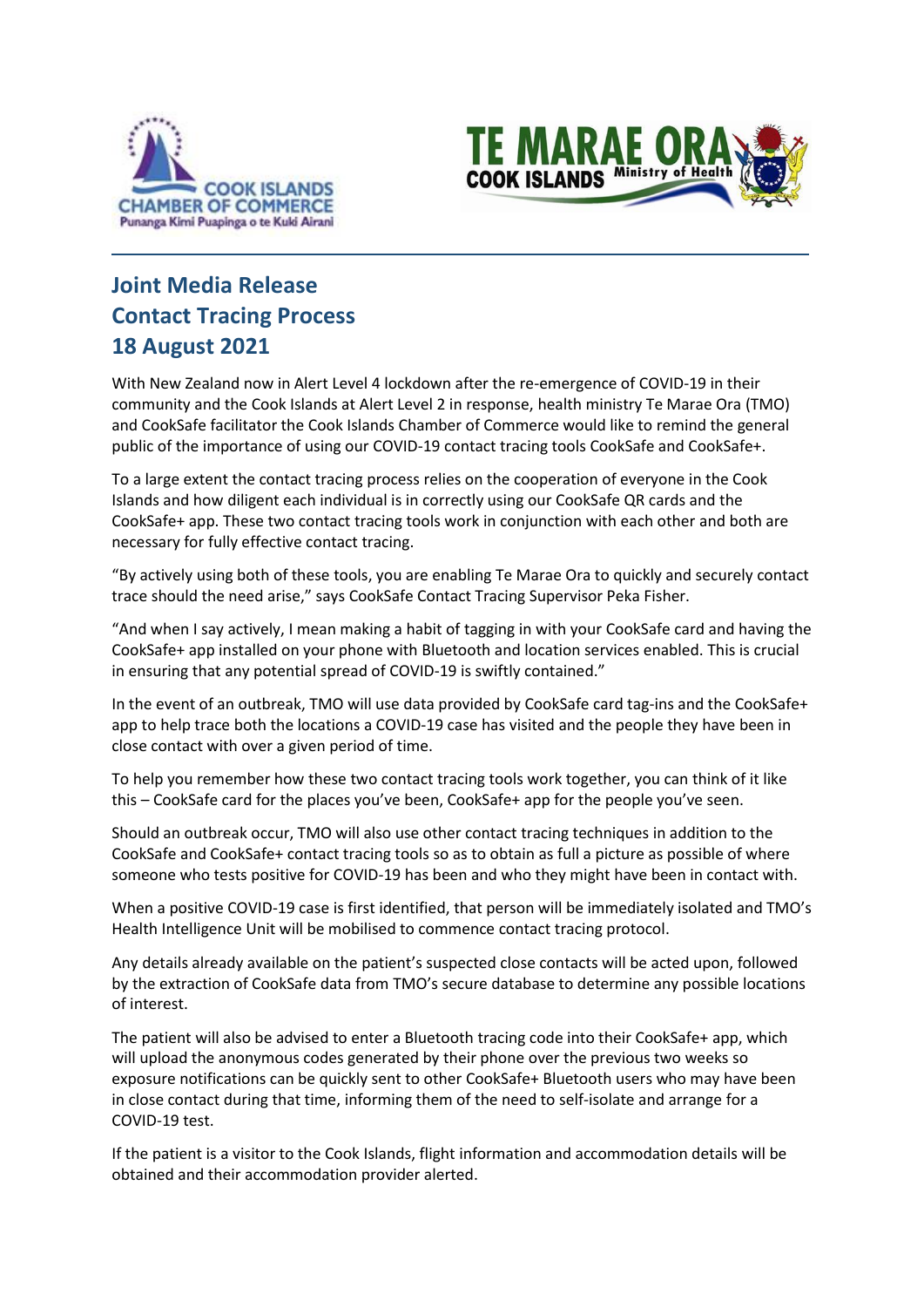



## **Joint Media Release Contact Tracing Process 18 August 2021**

With New Zealand now in Alert Level 4 lockdown after the re-emergence of COVID-19 in their community and the Cook Islands at Alert Level 2 in response, health ministry Te Marae Ora (TMO) and CookSafe facilitator the Cook Islands Chamber of Commerce would like to remind the general public of the importance of using our COVID-19 contact tracing tools CookSafe and CookSafe+.

\_\_\_\_\_\_\_\_\_\_\_\_\_\_\_\_\_\_\_\_\_\_\_\_\_\_\_\_\_\_\_\_\_\_\_\_\_\_\_\_\_\_\_\_\_\_\_\_\_\_\_\_\_\_\_\_\_\_\_\_\_\_\_\_\_\_\_\_\_\_\_\_\_\_\_\_\_\_\_\_\_\_

To a large extent the contact tracing process relies on the cooperation of everyone in the Cook Islands and how diligent each individual is in correctly using our CookSafe QR cards and the CookSafe+ app. These two contact tracing tools work in conjunction with each other and both are necessary for fully effective contact tracing.

"By actively using both of these tools, you are enabling Te Marae Ora to quickly and securely contact trace should the need arise," says CookSafe Contact Tracing Supervisor Peka Fisher.

"And when I say actively, I mean making a habit of tagging in with your CookSafe card and having the CookSafe+ app installed on your phone with Bluetooth and location services enabled. This is crucial in ensuring that any potential spread of COVID-19 is swiftly contained."

In the event of an outbreak, TMO will use data provided by CookSafe card tag-ins and the CookSafe+ app to help trace both the locations a COVID-19 case has visited and the people they have been in close contact with over a given period of time.

To help you remember how these two contact tracing tools work together, you can think of it like this – CookSafe card for the places you've been, CookSafe+ app for the people you've seen.

Should an outbreak occur, TMO will also use other contact tracing techniques in addition to the CookSafe and CookSafe+ contact tracing tools so as to obtain as full a picture as possible of where someone who tests positive for COVID-19 has been and who they might have been in contact with.

When a positive COVID-19 case is first identified, that person will be immediately isolated and TMO's Health Intelligence Unit will be mobilised to commence contact tracing protocol.

Any details already available on the patient's suspected close contacts will be acted upon, followed by the extraction of CookSafe data from TMO's secure database to determine any possible locations of interest.

The patient will also be advised to enter a Bluetooth tracing code into their CookSafe+ app, which will upload the anonymous codes generated by their phone over the previous two weeks so exposure notifications can be quickly sent to other CookSafe+ Bluetooth users who may have been in close contact during that time, informing them of the need to self-isolate and arrange for a COVID-19 test.

If the patient is a visitor to the Cook Islands, flight information and accommodation details will be obtained and their accommodation provider alerted.